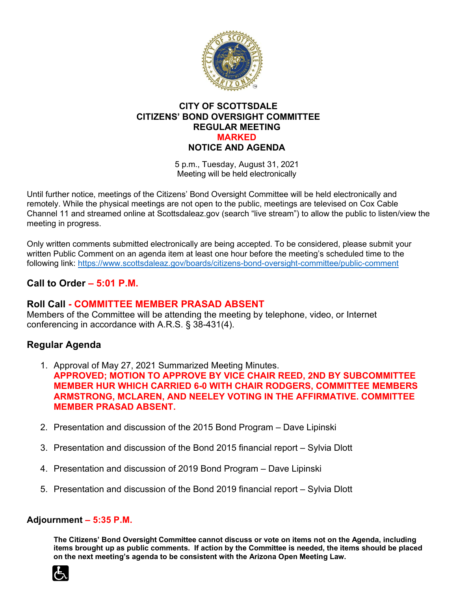

### **CITY OF SCOTTSDALE CITIZENS' BOND OVERSIGHT COMMITTEE REGULAR MEETING MARKED NOTICE AND AGENDA**

5 p.m., Tuesday, August 31, 2021 Meeting will be held electronically

Until further notice, meetings of the Citizens' Bond Oversight Committee will be held electronically and remotely. While the physical meetings are not open to the public, meetings are televised on Cox Cable Channel 11 and streamed online at Scottsdaleaz.gov (search "live stream") to allow the public to listen/view the meeting in progress.

Only written comments submitted electronically are being accepted. To be considered, please submit your written Public Comment on an agenda item at least one hour before the meeting's scheduled time to the following link:<https://www.scottsdaleaz.gov/boards/citizens-bond-oversight-committee/public-comment>

# **Call to Order – 5:01 P.M.**

### **Roll Call - COMMITTEE MEMBER PRASAD ABSENT**

Members of the Committee will be attending the meeting by telephone, video, or Internet conferencing in accordance with A.R.S. § 38-431(4).

# **Regular Agenda**

- 1. Approval of May 27, 2021 Summarized Meeting Minutes. **APPROVED; MOTION TO APPROVE BY VICE CHAIR REED, 2ND BY SUBCOMMITTEE MEMBER HUR WHICH CARRIED 6-0 WITH CHAIR RODGERS, COMMITTEE MEMBERS ARMSTRONG, MCLAREN, AND NEELEY VOTING IN THE AFFIRMATIVE. COMMITTEE MEMBER PRASAD ABSENT.**
- 2. Presentation and discussion of the 2015 Bond Program Dave Lipinski
- 3. Presentation and discussion of the Bond 2015 financial report Sylvia Dlott
- 4. Presentation and discussion of 2019 Bond Program Dave Lipinski
- 5. Presentation and discussion of the Bond 2019 financial report Sylvia Dlott

#### **Adjournment – 5:35 P.M.**

**The Citizens' Bond Oversight Committee cannot discuss or vote on items not on the Agenda, including items brought up as public comments. If action by the Committee is needed, the items should be placed on the next meeting's agenda to be consistent with the Arizona Open Meeting Law.**